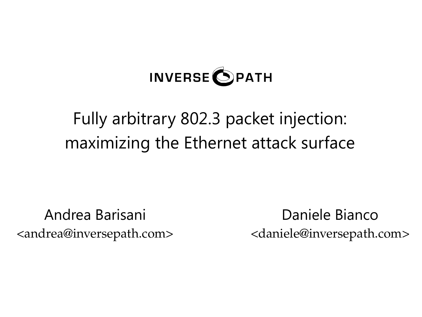

# Fully arbitrary 802.3 packet injection: maximizing the Ethernet attack surface

Andrea Barisani <andrea@inversepath.com>

Daniele Bianco <daniele@inversepath.com>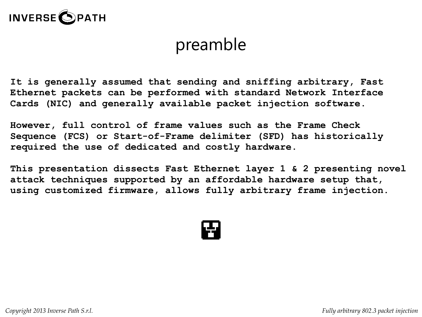

## preamble

**It is generally assumed that sending and sniffing arbitrary, Fast Ethernet packets can be performed with standard Network Interface Cards (NIC) and generally available packet injection software.** 

**However, full control of frame values such as the Frame Check Sequence (FCS) or Start-of-Frame delimiter (SFD) has historically required the use of dedicated and costly hardware.**

**This presentation dissects Fast Ethernet layer 1 & 2 presenting novel attack techniques supported by an affordable hardware setup that, using customized firmware, allows fully arbitrary frame injection.**

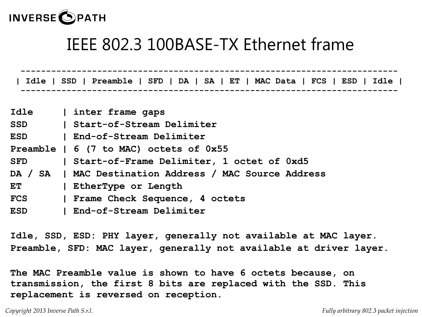

## IEEE 802.3 100BASE-TX Ethernet frame

 **-------------------------------------------------------------------------- | Idle | SSD | Preamble | SFD | DA | SA | ET | MAC Data | FCS | ESD | Idle | --------------------------------------------------------------------------** 

| Idle       | inter frame gaps                                       |
|------------|--------------------------------------------------------|
| <b>SSD</b> | Start-of-Stream Delimiter                              |
| <b>ESD</b> | End-of-Stream Delimiter                                |
|            | Preamble $\vert$ 6 (7 to MAC) octets of $0x55$         |
| <b>SFD</b> | Start-of-Frame Delimiter, 1 octet of 0xd5              |
|            | DA / SA   MAC Destination Address / MAC Source Address |
| ET         | EtherType or Length                                    |
| <b>FCS</b> | Frame Check Sequence, 4 octets                         |
| <b>ESD</b> | End-of-Stream Delimiter                                |
|            |                                                        |

**Idle, SSD, ESD: PHY layer, generally not available at MAC layer. Preamble, SFD: MAC layer, generally not available at driver layer.**

**The MAC Preamble value is shown to have 6 octets because, on transmission, the first 8 bits are replaced with the SSD. This replacement is reversed on reception.**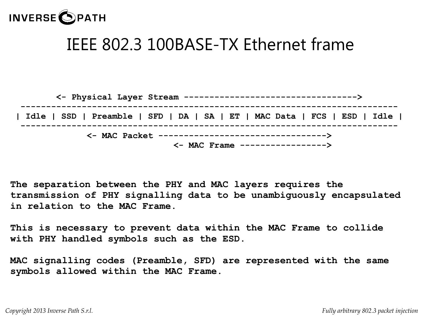

## IEEE 802.3 100BASE-TX Ethernet frame

| Idle   SSD   Preamble   SFD   DA   SA   ET   MAC Data   FCS   ESD   Idle                                        |
|-----------------------------------------------------------------------------------------------------------------|
| <- MAC Packet ----------------------------------><br>$\left\langle -\right\rangle$ MAC Frame -----------------> |

**The separation between the PHY and MAC layers requires the transmission of PHY signalling data to be unambiguously encapsulated in relation to the MAC Frame.**

**This is necessary to prevent data within the MAC Frame to collide with PHY handled symbols such as the ESD.**

**MAC signalling codes (Preamble, SFD) are represented with the same symbols allowed within the MAC Frame.**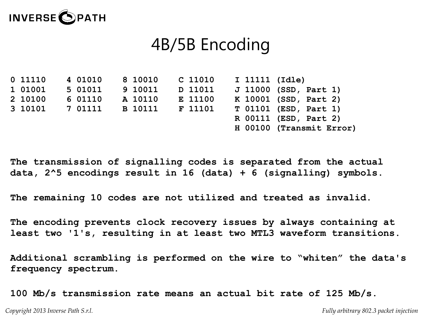

## 4B/5B Encoding

**0 11110 4 01010 8 10010 C 11010 I 11111 (Idle) 1 01001 5 01011 9 10011 D 11011 J 11000 (SSD, Part 1) 2 10100 6 01110 A 10110 E 11100 K 10001 (SSD, Part 2) 3 10101 7 01111 B 10111 F 11101 T 01101 (ESD, Part 1) R 00111 (ESD, Part 2) H 00100 (Transmit Error)**

**The transmission of signalling codes is separated from the actual data, 2^5 encodings result in 16 (data) + 6 (signalling) symbols.**

**The remaining 10 codes are not utilized and treated as invalid.**

**The encoding prevents clock recovery issues by always containing at least two '1's, resulting in at least two MTL3 waveform transitions.**

**Additional scrambling is performed on the wire to "whiten" the data's frequency spectrum.**

**100 Mb/s transmission rate means an actual bit rate of 125 Mb/s.**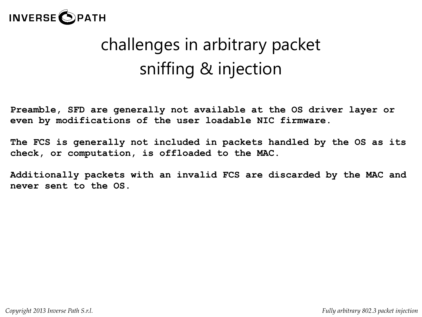

# challenges in arbitrary packet sniffing & injection

**Preamble, SFD are generally not available at the OS driver layer or even by modifications of the user loadable NIC firmware.**

**The FCS is generally not included in packets handled by the OS as its check, or computation, is offloaded to the MAC.**

**Additionally packets with an invalid FCS are discarded by the MAC and never sent to the OS.**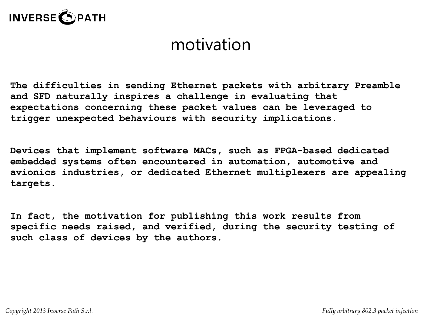

#### motivation

**The difficulties in sending Ethernet packets with arbitrary Preamble and SFD naturally inspires a challenge in evaluating that expectations concerning these packet values can be leveraged to trigger unexpected behaviours with security implications.**

**Devices that implement software MACs, such as FPGA-based dedicated embedded systems often encountered in automation, automotive and avionics industries, or dedicated Ethernet multiplexers are appealing targets.**

**In fact, the motivation for publishing this work results from specific needs raised, and verified, during the security testing of such class of devices by the authors.**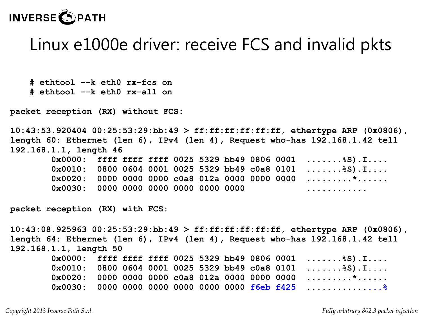

#### Linux e1000e driver: receive FCS and invalid pkts

**# ethtool –-k eth0 rx-fcs on # ethtool –-k eth0 rx-all on**

**packet reception (RX) without FCS:**

**10:43:53.920404 00:25:53:29:bb:49 > ff:ff:ff:ff:ff:ff, ethertype ARP (0x0806), length 60: Ethernet (len 6), IPv4 (len 4), Request who-has 192.168.1.42 tell 192.168.1.1, length 46**

|                                                 |  |  |  |  | $0x0000:$ ffff ffff ffff 0025 5329 bb49 0806 0001 $8S$ ).I  |
|-------------------------------------------------|--|--|--|--|-------------------------------------------------------------|
|                                                 |  |  |  |  | $0x0010: 0800 0604 0001 0025 5329 bb49 c0a8 0101 $ \$S).I   |
|                                                 |  |  |  |  | $0 \times 0020$ : 0000 0000 0000 c0a8 012a 0000 0000 0000 * |
| $0 \times 0030$ : 0000 0000 0000 0000 0000 0000 |  |  |  |  | .                                                           |

**packet reception (RX) with FCS:**

**10:43:08.925963 00:25:53:29:bb:49 > ff:ff:ff:ff:ff:ff, ethertype ARP (0x0806), length 64: Ethernet (len 6), IPv4 (len 4), Request who-has 192.168.1.42 tell 192.168.1.1, length 50**

|  |  |  |  | $0x0000:$ ffff ffff ffff 0025 5329 bb49 0806 0001 $\S$ S).I |
|--|--|--|--|-------------------------------------------------------------|
|  |  |  |  | $0x0010: 0800 0604 0001 0025 5329 bb49 c0a8 0101 $ \$S).I   |
|  |  |  |  | $0 \times 0020$ : 0000 0000 0000 c0a8 012a 0000 0000 0000 * |
|  |  |  |  | $0x0030: 0000 0000 0000 0000 0000 0000$ f6eb f425           |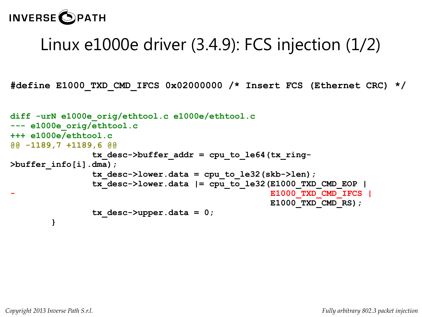#### **INVERSE OPATH**

# Linux e1000e driver (3.4.9): FCS injection (1/2)

**#define E1000\_TXD\_CMD\_IFCS 0x02000000 /\* Insert FCS (Ethernet CRC) \*/**

```
diff -urN e1000e_orig/ethtool.c e1000e/ethtool.c
--- e1000e_orig/ethtool.c
+++ e1000e/ethtool.c
@@ -1189,7 +1189,6 @@
                 tx_desc->buffer_addr = cpu_to_le64(tx_ring-
>buffer_info[i].dma);
                 tx_desc->lower.data = cpu_to_le32(skb->len);
                 tx_desc->lower.data |= cpu_to_le32(E1000_TXD_CMD_EOP |
                                                    - E1000_TXD_CMD_IFCS |
                                                     E1000_TXD_CMD_RS);
                 tx_desc->upper.data = 0;
 }
```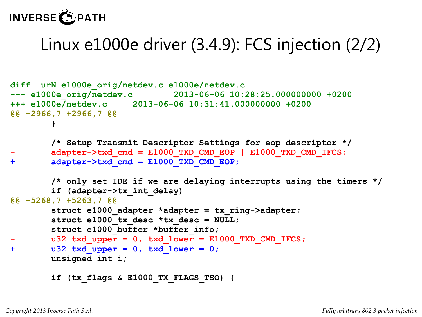## **INVERSE OPATH**

# Linux e1000e driver (3.4.9): FCS injection (2/2)

```
diff -urN e1000e_orig/netdev.c e1000e/netdev.c
--- e1000e_orig/netdev.c 2013-06-06 10:28:25.000000000 +0200
+++ e1000e/netdev.c 2013-06-06 10:31:41.000000000 +0200
@@ -2966,7 +2966,7 @@
 }
        /* Setup Transmit Descriptor Settings for eop descriptor */
       - adapter->txd_cmd = E1000_TXD_CMD_EOP | E1000_TXD_CMD_IFCS;
+ adapter->txd_cmd = E1000_TXD_CMD_EOP;
        /* only set IDE if we are delaying interrupts using the timers */
        if (adapter->tx_int_delay)
@@ -5268,7 +5263,7 @@
        struct e1000_adapter *adapter = tx_ring->adapter;
        struct e1000 tx desc *tx desc = NULL;
       struct e1000 buffer *buffer info;
       u32 txd upper = 0, txd lower = E1000 TXD CMD IFCS;
+ u32 txd_upper = 0, txd_lower = 0;
        unsigned int i;
         if (tx_flags & E1000_TX_FLAGS_TSO) {
```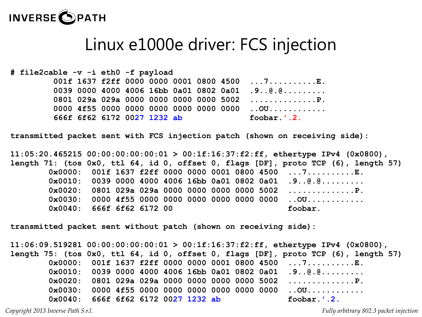

#### Linux e1000e driver: FCS injection

**# file2cable -v -i eth0 -f payload 001f 1637 f2ff 0000 0000 0001 0800 4500 ...7..........E. 0039 0000 4000 4006 16bb 0a01 0802 0a01 .9..@.@......... 0801 029a 029a 0000 0000 0000 0000 5002 ..............P. 0000 4f55 0000 0000 0000 0000 0000 0000 ..OU............ 666f 6f62 6172 0027 1232 ab foobar.'.2.**

**transmitted packet sent with FCS injection patch (shown on receiving side):**

**11:05:20.465215 00:00:00:00:00:01 > 00:1f:16:37:f2:ff, ethertype IPv4 (0x0800), length 71: (tos 0x0, ttl 64, id 0, offset 0, flags [DF], proto TCP (6), length 57) 0x0000: 001f 1637 f2ff 0000 0000 0001 0800 4500 ...7..........E. 0x0010: 0039 0000 4000 4006 16bb 0a01 0802 0a01 .9..@.@......... 0x0020: 0801 029a 029a 0000 0000 0000 0000 5002 ..............P. 0x0030: 0000 4f55 0000 0000 0000 0000 0000 0000 ..OU............ 0x0040: 666f 6f62 6172 00 foobar.**

**transmitted packet sent without patch (shown on receiving side):**

**11:06:09.519281 00:00:00:00:00:01 > 00:1f:16:37:f2:ff, ethertype IPv4 (0x0800), length 75: (tos 0x0, ttl 64, id 0, offset 0, flags [DF], proto TCP (6), length 57) 0x0000: 001f 1637 f2ff 0000 0000 0001 0800 4500 ...7..........E. 0x0010: 0039 0000 4000 4006 16bb 0a01 0802 0a01 .9..@.@......... 0x0020: 0801 029a 029a 0000 0000 0000 0000 5002 ..............P. 0x0030: 0000 4f55 0000 0000 0000 0000 0000 0000 ..OU............ 0x0040: 666f 6f62 6172 0027 1232 ab foobar.'.2.**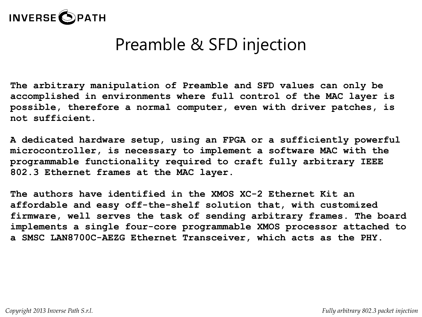

# Preamble & SFD injection

**The arbitrary manipulation of Preamble and SFD values can only be accomplished in environments where full control of the MAC layer is possible, therefore a normal computer, even with driver patches, is not sufficient.**

**A dedicated hardware setup, using an FPGA or a sufficiently powerful microcontroller, is necessary to implement a software MAC with the programmable functionality required to craft fully arbitrary IEEE 802.3 Ethernet frames at the MAC layer.**

**The authors have identified in the XMOS XC-2 Ethernet Kit an affordable and easy off-the-shelf solution that, with customized firmware, well serves the task of sending arbitrary frames. The board implements a single four-core programmable XMOS processor attached to a SMSC LAN8700C-AEZG Ethernet Transceiver, which acts as the PHY.**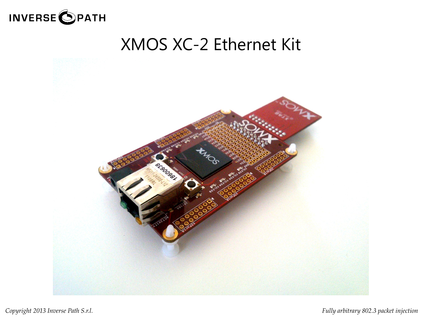

## XMOS XC-2 Ethernet Kit

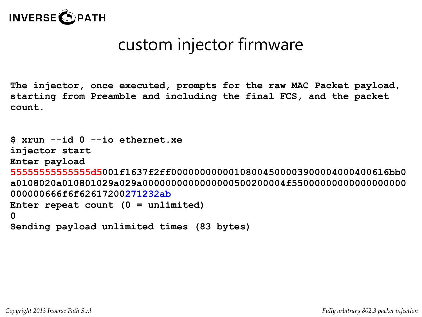

# custom injector firmware

**The injector, once executed, prompts for the raw MAC Packet payload, starting from Preamble and including the final FCS, and the packet count.**

```
$ xrun --id 0 --io ethernet.xe
injector start
Enter payload
55555555555555d5001f1637f2ff00000000000108004500003900004000400616bb0
a0108020a010801029a029a0000000000000000500200004f55000000000000000000
000000666f6f62617200271232ab
Enter repeat count (0 = unlimited)
0
Sending payload unlimited times (83 bytes)
```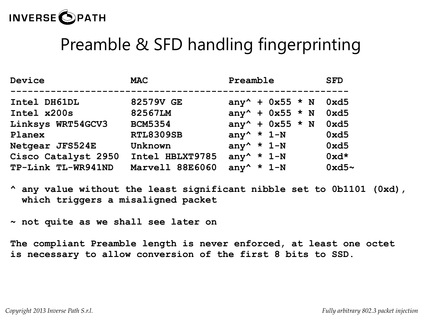

## Preamble & SFD handling fingerprinting

| Device              | <b>MAC</b>       | Preamble                                | <b>SFD</b> |
|---------------------|------------------|-----------------------------------------|------------|
| Intel DH61DL        | 82579V GE        | any <sup>^</sup> + $0x55 \div N$        | 0xd5       |
| Intel x200s         | 82567LM          | any <sup>^</sup> + $0x55 \div N$        | 0xd5       |
| Linksys WRT54GCV3   | <b>BCM5354</b>   | any <sup>^</sup> + $0x55 \div N$        | 0xd5       |
| Planex              | <b>RTL8309SB</b> | any <sup><math>\star</math></sup> $1-N$ | 0xd5       |
| Netgear JFS524E     | Unknown          | any <sup>^</sup> * $1-N$                | 0xd5       |
| Cisco Catalyst 2950 | Intel HBLXT9785  | any <sup>^</sup> * $1-N$                | $0xd*$     |
| TP-Link TL-WR941ND  | Marvell 88E6060  | any <sup>^</sup> * $1-N$                | $0xd5$ ~   |

**^ any value without the least significant nibble set to 0b1101 (0xd), which triggers a misaligned packet**

**~ not quite as we shall see later on**

**The compliant Preamble length is never enforced, at least one octet is necessary to allow conversion of the first 8 bits to SSD.**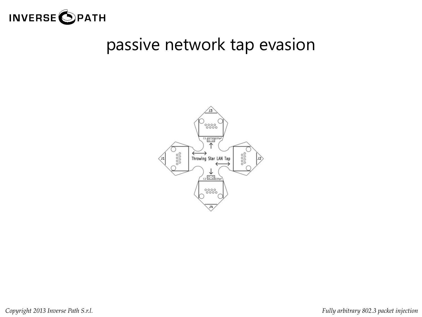

#### passive network tap evasion

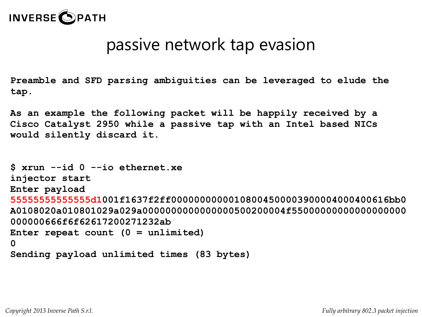

#### passive network tap evasion

**Preamble and SFD parsing ambiguities can be leveraged to elude the tap.**

**As an example the following packet will be happily received by a Cisco Catalyst 2950 while a passive tap with an Intel based NICs would silently discard it.**

```
$ xrun --id 0 --io ethernet.xe
injector start
Enter payload
55555555555555d1001f1637f2ff00000000000108004500003900004000400616bb0
A0108020a010801029a029a0000000000000000500200004f55000000000000000000
000000666f6f62617200271232ab
Enter repeat count (0 = unlimited)
0
Sending payload unlimited times (83 bytes)
```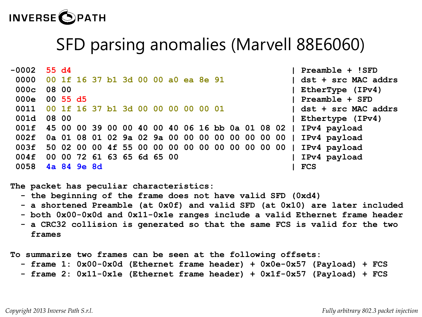

## SFD parsing anomalies (Marvell 88E6060)

| Preamble + !SFD                                                |            |                                                 |  |  |  |  |  |  | 55 d4                      |                                     | $-0002$ |
|----------------------------------------------------------------|------------|-------------------------------------------------|--|--|--|--|--|--|----------------------------|-------------------------------------|---------|
| dst + src MAC addrs                                            |            |                                                 |  |  |  |  |  |  |                            | 00 1f 16 37 b1 3d 00 00 a0 ea 8e 91 | 0000    |
| EtherType (IPv4)                                               |            |                                                 |  |  |  |  |  |  | 08 00                      |                                     | 000c    |
| Preamble + SFD                                                 |            |                                                 |  |  |  |  |  |  | $00\,55\,d5$               |                                     | 000e    |
| dst + src MAC addrs                                            |            |                                                 |  |  |  |  |  |  |                            | 00 1f 16 37 b1 3d 00 00 00 00 00 01 | 0011    |
| Ethertype (IPv4)                                               |            |                                                 |  |  |  |  |  |  | 08 00                      |                                     | 001d    |
| 45 00 00 39 00 00 40 00 40 06 16 bb 0a 01 08 02   IPv4 payload |            |                                                 |  |  |  |  |  |  |                            |                                     | 001f    |
| 0a 01 08 01 02 9a 02 9a 00 00 00 00 00 00 00 00   IPv4 payload |            |                                                 |  |  |  |  |  |  |                            |                                     | 002f    |
| IPv4 payload                                                   |            | 50 02 00 00 4f 55 00 00 00 00 00 00 00 00 00 00 |  |  |  |  |  |  |                            |                                     | 003f    |
| IPv4 payload                                                   |            |                                                 |  |  |  |  |  |  | 00 00 72 61 63 65 6d 65 00 |                                     | 004f    |
|                                                                | <b>FCS</b> |                                                 |  |  |  |  |  |  | 4a 84 9e 8d                |                                     | 0058    |

**The packet has peculiar characteristics:**

- **the beginning of the frame does not have valid SFD (0xd4)**
- **a shortened Preamble (at 0x0f) and valid SFD (at 0x10) are later included**
- **both 0x00-0x0d and 0x11-0x1e ranges include a valid Ethernet frame header**
- **a CRC32 collision is generated so that the same FCS is valid for the two frames**

**To summarize two frames can be seen at the following offsets:**

- **frame 1: 0x00-0x0d (Ethernet frame header) + 0x0e-0x57 (Payload) + FCS**
- **frame 2: 0x11-0x1e (Ethernet frame header) + 0x1f-0x57 (Payload) + FCS**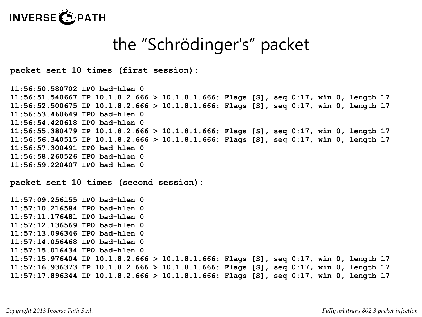

## the "Schrödinger's" packet

**packet sent 10 times (first session):**

```
11:56:50.580702 IP0 bad-hlen 0
11:56:51.540667 IP 10.1.8.2.666 > 10.1.8.1.666: Flags [S], seq 0:17, win 0, length 17
11:56:52.500675 IP 10.1.8.2.666 > 10.1.8.1.666: Flags [S], seq 0:17, win 0, length 17
11:56:53.460649 IP0 bad-hlen 0
11:56:54.420618 IP0 bad-hlen 0
11:56:55.380479 IP 10.1.8.2.666 > 10.1.8.1.666: Flags [S], seq 0:17, win 0, length 17
11:56:56.340515 IP 10.1.8.2.666 > 10.1.8.1.666: Flags [S], seq 0:17, win 0, length 17
11:56:57.300491 IP0 bad-hlen 0
11:56:58.260526 IP0 bad-hlen 0
11:56:59.220407 IP0 bad-hlen 0
packet sent 10 times (second session):
```

```
11:57:09.256155 IP0 bad-hlen 0
11:57:10.216584 IP0 bad-hlen 0
11:57:11.176481 IP0 bad-hlen 0
11:57:12.136569 IP0 bad-hlen 0
11:57:13.096346 IP0 bad-hlen 0
11:57:14.056468 IP0 bad-hlen 0
11:57:15.016434 IP0 bad-hlen 0
11:57:15.976404 IP 10.1.8.2.666 > 10.1.8.1.666: Flags [S], seq 0:17, win 0, length 17
11:57:16.936373 IP 10.1.8.2.666 > 10.1.8.1.666: Flags [S], seq 0:17, win 0, length 17
11:57:17.896344 IP 10.1.8.2.666 > 10.1.8.1.666: Flags [S], seq 0:17, win 0, length 17
```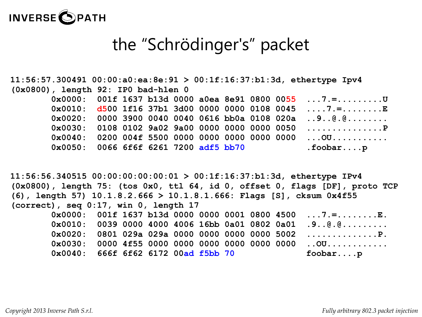

## the "Schrödinger's" packet

|                                                 |  |  |  |  | $11:56:57.300491 00:00:a0:ea:8e:91 > 00:1f:16:37:b1:3d$ , ethertype Ipv4 |
|-------------------------------------------------|--|--|--|--|--------------------------------------------------------------------------|
| $(0x0800)$ , length 92: IPO bad-hlen 0          |  |  |  |  |                                                                          |
|                                                 |  |  |  |  | $0x0000:$ 001f 1637 b13d 0000 a0ea 8e91 0800 0055 7.=                    |
|                                                 |  |  |  |  | $0x0010:$ d500 1f16 37b1 3d00 0000 0000 0108 0045 7.=E                   |
|                                                 |  |  |  |  | $0 \times 0020$ : 0000 3900 0040 0040 0616 bb0a 0108 020a 9@.@           |
|                                                 |  |  |  |  |                                                                          |
| 0x0040: 0200 004f 5500 0000 0000 0000 0000 0000 |  |  |  |  | . OU                                                                     |
| 0x0050: 0066 6f6f 6261 7200 adf5 bb70           |  |  |  |  | .foobarp                                                                 |

**11:56:56.340515 00:00:00:00:00:01 > 00:1f:16:37:b1:3d, ethertype IPv4 (0x0800), length 75: (tos 0x0, ttl 64, id 0, offset 0, flags [DF], proto TCP (6), length 57) 10.1.8.2.666 > 10.1.8.1.666: Flags [S], cksum 0x4f55 (correct), seq 0:17, win 0, length 17 0x0000: 001f 1637 b13d 0000 0000 0001 0800 4500 ...7.=........E. 0x0010: 0039 0000 4000 4006 16bb 0a01 0802 0a01 .9..@.@......... 0x0020: 0801 029a 029a 0000 0000 0000 0000 5002 ..............P. 0x0030: 0000 4f55 0000 0000 0000 0000 0000 0000 ..OU............ 0x0040: 666f 6f62 6172 00ad f5bb 70 foobar....p**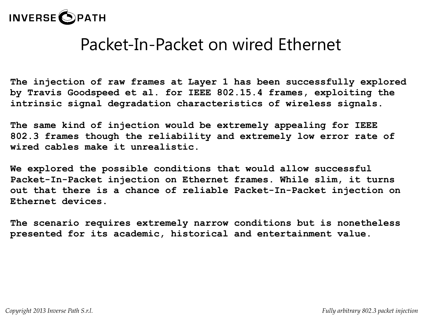

**The injection of raw frames at Layer 1 has been successfully explored by Travis Goodspeed et al. for IEEE 802.15.4 frames, exploiting the intrinsic signal degradation characteristics of wireless signals.**

**The same kind of injection would be extremely appealing for IEEE 802.3 frames though the reliability and extremely low error rate of wired cables make it unrealistic.**

**We explored the possible conditions that would allow successful Packet-In-Packet injection on Ethernet frames. While slim, it turns out that there is a chance of reliable Packet-In-Packet injection on Ethernet devices.**

**The scenario requires extremely narrow conditions but is nonetheless presented for its academic, historical and entertainment value.**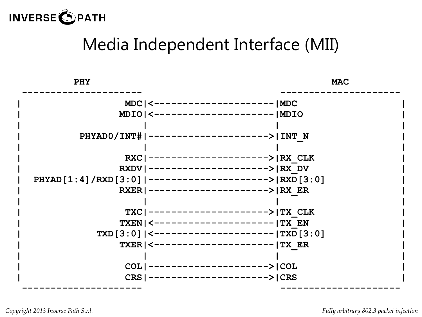

# Media Independent Interface (MII)

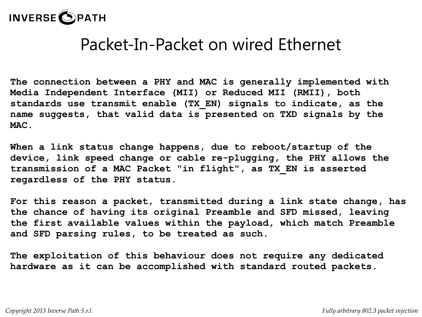

**The connection between a PHY and MAC is generally implemented with Media Independent Interface (MII) or Reduced MII (RMII), both standards use transmit enable (TX\_EN) signals to indicate, as the name suggests, that valid data is presented on TXD signals by the MAC.**

**When a link status change happens, due to reboot/startup of the device, link speed change or cable re-plugging, the PHY allows the transmission of a MAC Packet "in flight", as TX\_EN is asserted regardless of the PHY status.**

**For this reason a packet, transmitted during a link state change, has the chance of having its original Preamble and SFD missed, leaving the first available values within the payload, which match Preamble and SFD parsing rules, to be treated as such.**

**The exploitation of this behaviour does not require any dedicated hardware as it can be accomplished with standard routed packets.**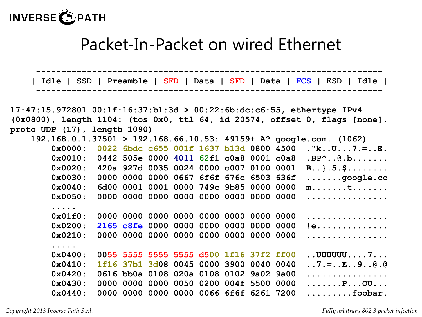

|                                                                                  |            |  |      |           |      |  |                                         |  |  |                                         | Idle   SSD   Preamble   SFD   Data   SFD   Data   FCS   ESD   Idle       |
|----------------------------------------------------------------------------------|------------|--|------|-----------|------|--|-----------------------------------------|--|--|-----------------------------------------|--------------------------------------------------------------------------|
|                                                                                  |            |  |      |           |      |  |                                         |  |  |                                         |                                                                          |
|                                                                                  |            |  |      |           |      |  |                                         |  |  |                                         | $17:47:15.972801 00:1f:16:37:b1:3d > 00:22:6b:dc:cb:55, eithertype IPv4$ |
| $(0x0800)$ , length 1104: (tos $0x0$ , ttl 64, id 20574, offset 0, flags [none], |            |  |      |           |      |  |                                         |  |  |                                         |                                                                          |
| proto UDP (17), length 1090)                                                     |            |  |      |           |      |  |                                         |  |  |                                         |                                                                          |
|                                                                                  |            |  |      |           |      |  |                                         |  |  |                                         | 192.168.0.1.37501 > 192.168.66.10.53: 49159+ A? google.com. (1062)       |
|                                                                                  | 0x0000:    |  |      |           |      |  | 0022 6bdc c655 001f 1637 b13d 0800 4500 |  |  |                                         | . " $k$ . . $U$ . 7 . = $E$ .                                            |
|                                                                                  | 0x0010:    |  |      |           |      |  |                                         |  |  | 0442 505e 0000 4011 62f1 c0a8 0001 c0a8 | $.BP^{\wedge}$ $@. b$                                                    |
|                                                                                  | 0x0020:    |  |      |           |      |  | 420a 927d 0035 0024 0000 c007 0100 0001 |  |  |                                         | $B$ }.5. $\frac{5}{7}$                                                   |
|                                                                                  | 0x0030:    |  |      |           |      |  | 0000 0000 0000 0667 6f6f 676c 6503 636f |  |  |                                         | $\ldots \ldots$ .google.co                                               |
|                                                                                  | 0x0040:    |  | 6d00 |           |      |  | 0001 0001 0000 749c 9b85 0000 0000      |  |  |                                         | $m \ldots \ldots t \ldots \ldots$                                        |
|                                                                                  | 0x0050:    |  |      |           |      |  | 0000 0000 0000 0000 0000 0000 0000 0000 |  |  |                                         | .                                                                        |
|                                                                                  | .          |  |      |           |      |  |                                         |  |  |                                         |                                                                          |
|                                                                                  | $0x01f0$ : |  |      |           |      |  | 0000 0000 0000 0000 0000 0000 0000 0000 |  |  |                                         | .                                                                        |
|                                                                                  | 0x0200:    |  |      |           |      |  | 2165 c8fe 0000 0000 0000 0000 0000      |  |  | 0000                                    | !e                                                                       |
|                                                                                  | 0x0210:    |  |      |           |      |  | 0000 0000 0000 0000 0000 0000 0000 0000 |  |  |                                         | .                                                                        |
|                                                                                  | .          |  |      |           |      |  |                                         |  |  |                                         |                                                                          |
|                                                                                  | 0x0400:    |  |      |           |      |  | 0055 5555 5555 5555 d500 1f16 37f2 ff00 |  |  |                                         | $\ldots$ UUUUUU $\ldots$ 7                                               |
|                                                                                  | 0x0410:    |  |      |           |      |  | 1f16 37b1 3d08 0045 0000 3900 0040 0040 |  |  |                                         | $.7. = E. . 9. . 0. 0$                                                   |
|                                                                                  | 0x0420:    |  |      |           |      |  | 0616 bb0a 0108 020a 0108 0102 9a02 9a00 |  |  |                                         | .                                                                        |
|                                                                                  | 0x0430:    |  |      | 0000 0000 | 0000 |  | 0050 0200 004f 5500 0000                |  |  |                                         | $\ldots \ldots P \ldots QU \ldots$                                       |
|                                                                                  | 0x0440:    |  |      |           |      |  | 0000 0000 0000 0000 0066 6f6f 6261 7200 |  |  |                                         | $\ldots \ldots \ldots$ foobar.                                           |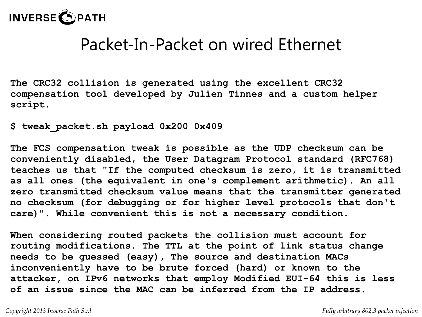

**The CRC32 collision is generated using the excellent CRC32 compensation tool developed by Julien Tinnes and a custom helper script.**

**\$ tweak\_packet.sh payload 0x200 0x409**

**The FCS compensation tweak is possible as the UDP checksum can be conveniently disabled, the User Datagram Protocol standard (RFC768) teaches us that "If the computed checksum is zero, it is transmitted as all ones (the equivalent in one's complement arithmetic). An all zero transmitted checksum value means that the transmitter generated no checksum (for debugging or for higher level protocols that don't care)". While convenient this is not a necessary condition.**

**When considering routed packets the collision must account for routing modifications. The TTL at the point of link status change needs to be guessed (easy), The source and destination MACs inconveniently have to be brute forced (hard) or known to the attacker, on IPv6 networks that employ Modified EUI-64 this is less of an issue since the MAC can be inferred from the IP address.**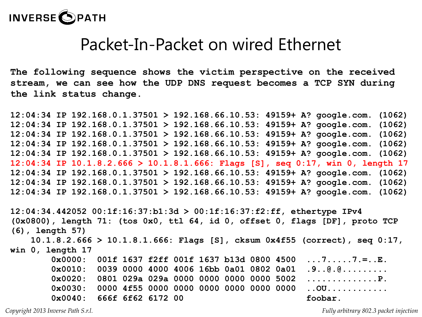

**The following sequence shows the victim perspective on the received stream, we can see how the UDP DNS request becomes a TCP SYN during the link status change.**

**12:04:34 IP 192.168.0.1.37501 > 192.168.66.10.53: 49159+ A? google.com. (1062) 12:04:34 IP 192.168.0.1.37501 > 192.168.66.10.53: 49159+ A? google.com. (1062) 12:04:34 IP 192.168.0.1.37501 > 192.168.66.10.53: 49159+ A? google.com. (1062) 12:04:34 IP 192.168.0.1.37501 > 192.168.66.10.53: 49159+ A? google.com. (1062) 12:04:34 IP 192.168.0.1.37501 > 192.168.66.10.53: 49159+ A? google.com. (1062) 12:04:34 IP 10.1.8.2.666 > 10.1.8.1.666: Flags [S], seq 0:17, win 0, length 17 12:04:34 IP 192.168.0.1.37501 > 192.168.66.10.53: 49159+ A? google.com. (1062) 12:04:34 IP 192.168.0.1.37501 > 192.168.66.10.53: 49159+ A? google.com. (1062) 12:04:34 IP 192.168.0.1.37501 > 192.168.66.10.53: 49159+ A? google.com. (1062)**

**12:04:34.442052 00:1f:16:37:b1:3d > 00:1f:16:37:f2:ff, ethertype IPv4 (0x0800), length 71: (tos 0x0, ttl 64, id 0, offset 0, flags [DF], proto TCP (6), length 57) 10.1.8.2.666 > 10.1.8.1.666: Flags [S], cksum 0x4f55 (correct), seq 0:17, win 0, length 17 0x0000: 001f 1637 f2ff 001f 1637 b13d 0800 4500 ...7.....7.=..E. 0x0010: 0039 0000 4000 4006 16bb 0a01 0802 0a01 .9..@.@......... 0x0020: 0801 029a 029a 0000 0000 0000 0000 5002 ..............P. 0x0030: 0000 4f55 0000 0000 0000 0000 0000 0000 ..OU............** 0x0040: 666f 6f62 6172 00 foobar.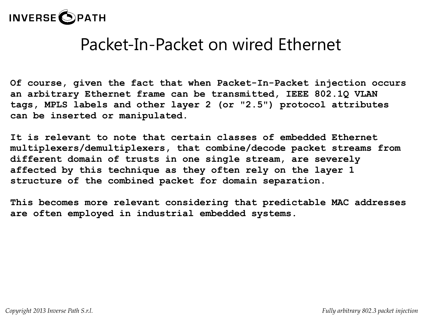

**Of course, given the fact that when Packet-In-Packet injection occurs an arbitrary Ethernet frame can be transmitted, IEEE 802.1Q VLAN tags, MPLS labels and other layer 2 (or "2.5") protocol attributes can be inserted or manipulated.**

**It is relevant to note that certain classes of embedded Ethernet multiplexers/demultiplexers, that combine/decode packet streams from different domain of trusts in one single stream, are severely affected by this technique as they often rely on the layer 1 structure of the combined packet for domain separation.**

**This becomes more relevant considering that predictable MAC addresses are often employed in industrial embedded systems.**